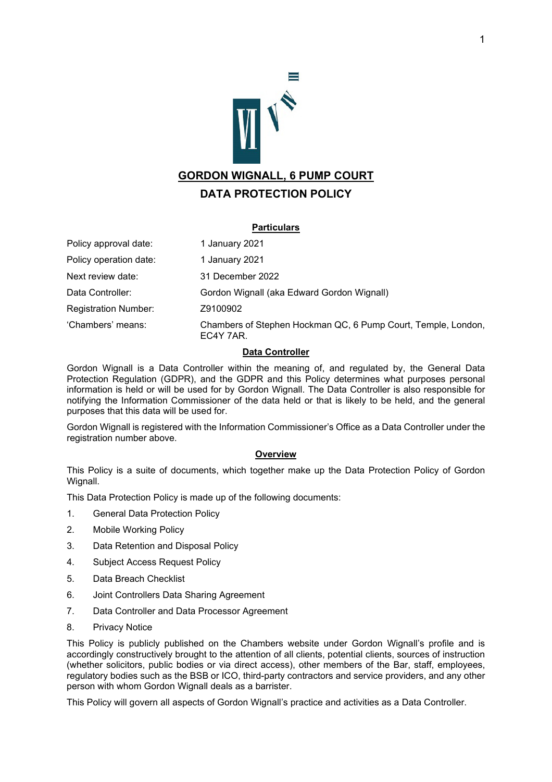

# **DATA PROTECTION POLICY**

### **Particulars**

Policy approval date: 1 January 2021 Policy operation date: 1 January 2021 Next review date: 31 December 2022 Data Controller: Gordon Wignall (aka Edward Gordon Wignall) Registration Number: Z9100902 'Chambers' means: Chambers of Stephen Hockman QC, 6 Pump Court, Temple, London, EC4Y 7AR.

### **Data Controller**

Gordon Wignall is a Data Controller within the meaning of, and regulated by, the General Data Protection Regulation (GDPR), and the GDPR and this Policy determines what purposes personal information is held or will be used for by Gordon Wignall. The Data Controller is also responsible for notifying the Information Commissioner of the data held or that is likely to be held, and the general purposes that this data will be used for.

Gordon Wignall is registered with the Information Commissioner's Office as a Data Controller under the registration number above.

## **Overview**

This Policy is a suite of documents, which together make up the Data Protection Policy of Gordon Wignall.

This Data Protection Policy is made up of the following documents:

- 1. General Data Protection Policy
- 2. Mobile Working Policy
- 3. Data Retention and Disposal Policy
- 4. Subject Access Request Policy
- 5. Data Breach Checklist
- 6. Joint Controllers Data Sharing Agreement
- 7. Data Controller and Data Processor Agreement
- 8. Privacy Notice

This Policy is publicly published on the Chambers website under Gordon Wignall's profile and is accordingly constructively brought to the attention of all clients, potential clients, sources of instruction (whether solicitors, public bodies or via direct access), other members of the Bar, staff, employees, regulatory bodies such as the BSB or ICO, third-party contractors and service providers, and any other person with whom Gordon Wignall deals as a barrister.

This Policy will govern all aspects of Gordon Wignall's practice and activities as a Data Controller.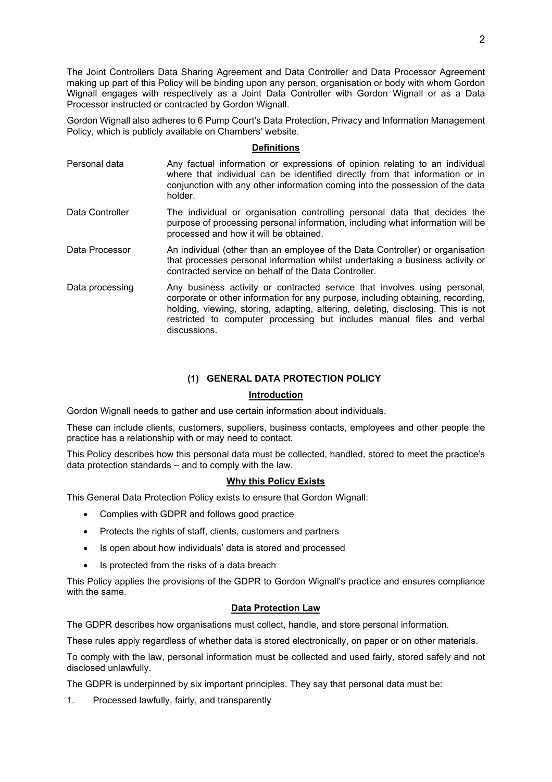The Joint Controllers Data Sharing Agreement and Data Controller and Data Processor Agreement making up part of this Policy will be binding upon any person, organisation or body with whom Gordon Wignall engages with respectively as a Joint Data Controller with Gordon Wignall or as a Data Processor instructed or contracted by Gordon Wignall.

Gordon Wignall also adheres to 6 Pump Court's Data Protection, Privacy and Information Management Policy, which is publicly available on Chambers' website.

#### **Definitions**

- Personal data Any factual information or expressions of opinion relating to an individual where that individual can be identified directly from that information or in conjunction with any other information coming into the possession of the data holder.
- Data Controller The individual or organisation controlling personal data that decides the purpose of processing personal information, including what information will be processed and how it will be obtained.
- Data Processor An individual (other than an employee of the Data Controller) or organisation that processes personal information whilst undertaking a business activity or contracted service on behalf of the Data Controller.
- Data processing Any business activity or contracted service that involves using personal, corporate or other information for any purpose, including obtaining, recording, holding, viewing, storing, adapting, altering, deleting, disclosing. This is not restricted to computer processing but includes manual files and verbal discussions.

### **(1) GENERAL DATA PROTECTION POLICY**

#### **Introduction**

Gordon Wignall needs to gather and use certain information about individuals.

These can include clients, customers, suppliers, business contacts, employees and other people the practice has a relationship with or may need to contact.

This Policy describes how this personal data must be collected, handled, stored to meet the practice's data protection standards – and to comply with the law.

#### **Why this Policy Exists**

This General Data Protection Policy exists to ensure that Gordon Wignall:

- Complies with GDPR and follows good practice
- Protects the rights of staff, clients, customers and partners
- Is open about how individuals' data is stored and processed
- Is protected from the risks of a data breach

This Policy applies the provisions of the GDPR to Gordon Wignall's practice and ensures compliance with the same.

#### **Data Protection Law**

The GDPR describes how organisations must collect, handle, and store personal information.

These rules apply regardless of whether data is stored electronically, on paper or on other materials.

To comply with the law, personal information must be collected and used fairly, stored safely and not disclosed unlawfully.

The GDPR is underpinned by six important principles. They say that personal data must be:

1. Processed lawfully, fairly, and transparently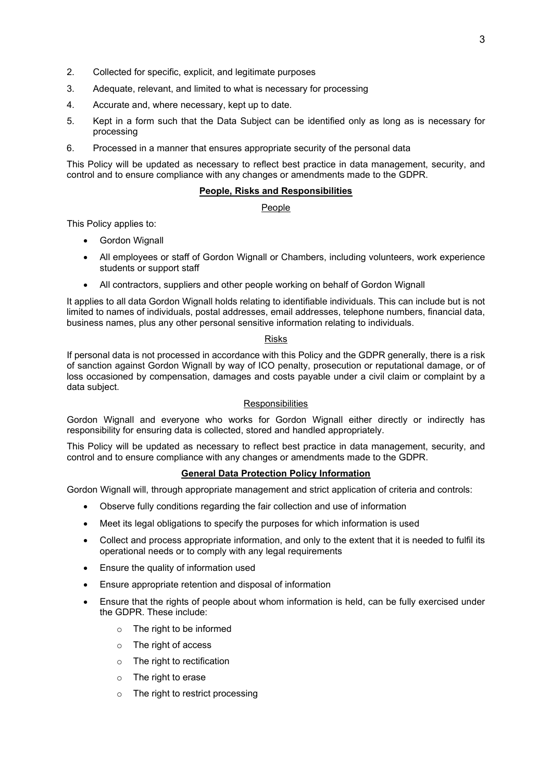- 2. Collected for specific, explicit, and legitimate purposes
- 3. Adequate, relevant, and limited to what is necessary for processing
- 4. Accurate and, where necessary, kept up to date.
- 5. Kept in a form such that the Data Subject can be identified only as long as is necessary for processing
- 6. Processed in a manner that ensures appropriate security of the personal data

This Policy will be updated as necessary to reflect best practice in data management, security, and control and to ensure compliance with any changes or amendments made to the GDPR.

## **People, Risks and Responsibilities**

People

This Policy applies to:

- Gordon Wignall
- All employees or staff of Gordon Wignall or Chambers, including volunteers, work experience students or support staff
- All contractors, suppliers and other people working on behalf of Gordon Wignall

It applies to all data Gordon Wignall holds relating to identifiable individuals. This can include but is not limited to names of individuals, postal addresses, email addresses, telephone numbers, financial data, business names, plus any other personal sensitive information relating to individuals.

### Risks

If personal data is not processed in accordance with this Policy and the GDPR generally, there is a risk of sanction against Gordon Wignall by way of ICO penalty, prosecution or reputational damage, or of loss occasioned by compensation, damages and costs payable under a civil claim or complaint by a data subject.

## **Responsibilities**

Gordon Wignall and everyone who works for Gordon Wignall either directly or indirectly has responsibility for ensuring data is collected, stored and handled appropriately.

This Policy will be updated as necessary to reflect best practice in data management, security, and control and to ensure compliance with any changes or amendments made to the GDPR.

#### **General Data Protection Policy Information**

Gordon Wignall will, through appropriate management and strict application of criteria and controls:

- Observe fully conditions regarding the fair collection and use of information
- Meet its legal obligations to specify the purposes for which information is used
- Collect and process appropriate information, and only to the extent that it is needed to fulfil its operational needs or to comply with any legal requirements
- Ensure the quality of information used
- Ensure appropriate retention and disposal of information
- Ensure that the rights of people about whom information is held, can be fully exercised under the GDPR. These include:
	- o The right to be informed
	- o The right of access
	- o The right to rectification
	- o The right to erase
	- o The right to restrict processing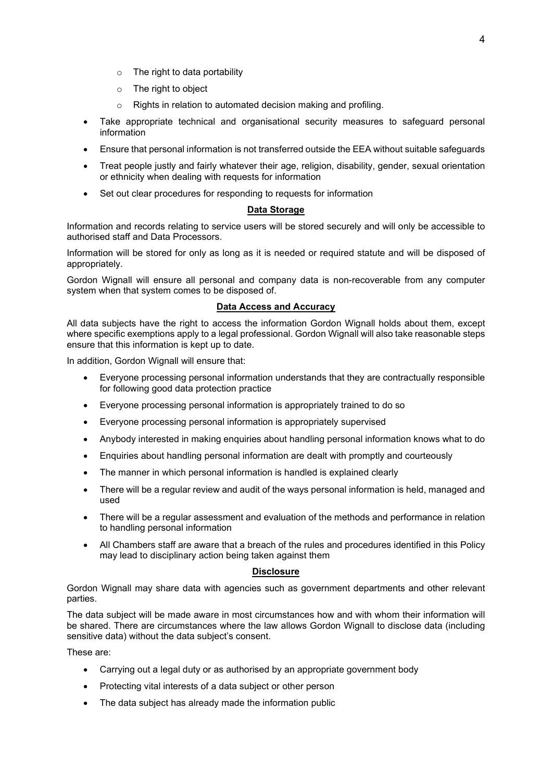- o The right to data portability
- o The right to object
- o Rights in relation to automated decision making and profiling.
- Take appropriate technical and organisational security measures to safeguard personal information
- Ensure that personal information is not transferred outside the EEA without suitable safeguards
- Treat people justly and fairly whatever their age, religion, disability, gender, sexual orientation or ethnicity when dealing with requests for information
- Set out clear procedures for responding to requests for information

### **Data Storage**

Information and records relating to service users will be stored securely and will only be accessible to authorised staff and Data Processors.

Information will be stored for only as long as it is needed or required statute and will be disposed of appropriately.

Gordon Wignall will ensure all personal and company data is non-recoverable from any computer system when that system comes to be disposed of.

### **Data Access and Accuracy**

All data subjects have the right to access the information Gordon Wignall holds about them, except where specific exemptions apply to a legal professional. Gordon Wignall will also take reasonable steps ensure that this information is kept up to date.

In addition, Gordon Wignall will ensure that:

- Everyone processing personal information understands that they are contractually responsible for following good data protection practice
- Everyone processing personal information is appropriately trained to do so
- Everyone processing personal information is appropriately supervised
- Anybody interested in making enquiries about handling personal information knows what to do
- Enquiries about handling personal information are dealt with promptly and courteously
- The manner in which personal information is handled is explained clearly
- There will be a regular review and audit of the ways personal information is held, managed and used
- There will be a regular assessment and evaluation of the methods and performance in relation to handling personal information
- All Chambers staff are aware that a breach of the rules and procedures identified in this Policy may lead to disciplinary action being taken against them

#### **Disclosure**

Gordon Wignall may share data with agencies such as government departments and other relevant parties.

The data subject will be made aware in most circumstances how and with whom their information will be shared. There are circumstances where the law allows Gordon Wignall to disclose data (including sensitive data) without the data subject's consent.

These are:

- Carrying out a legal duty or as authorised by an appropriate government body
- Protecting vital interests of a data subject or other person
- The data subject has already made the information public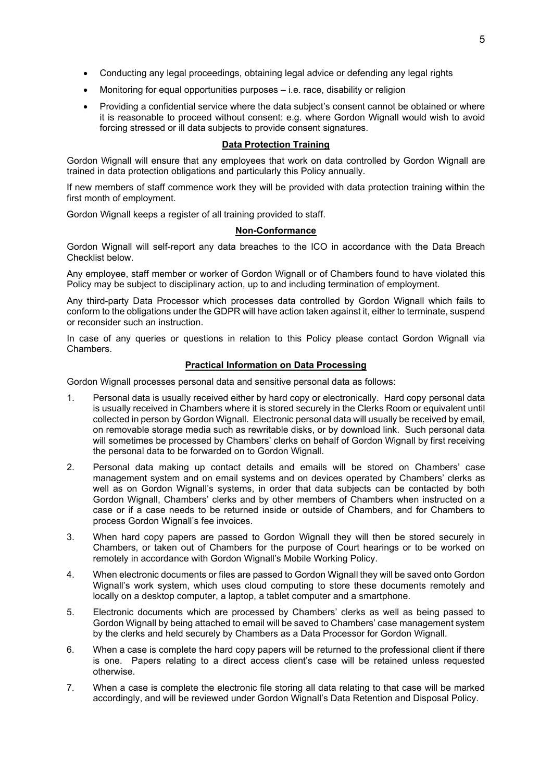- Conducting any legal proceedings, obtaining legal advice or defending any legal rights
- Monitoring for equal opportunities purposes i.e. race, disability or religion
- Providing a confidential service where the data subject's consent cannot be obtained or where it is reasonable to proceed without consent: e.g. where Gordon Wignall would wish to avoid forcing stressed or ill data subjects to provide consent signatures.

### **Data Protection Training**

Gordon Wignall will ensure that any employees that work on data controlled by Gordon Wignall are trained in data protection obligations and particularly this Policy annually.

If new members of staff commence work they will be provided with data protection training within the first month of employment.

Gordon Wignall keeps a register of all training provided to staff.

#### **Non-Conformance**

Gordon Wignall will self-report any data breaches to the ICO in accordance with the Data Breach Checklist below.

Any employee, staff member or worker of Gordon Wignall or of Chambers found to have violated this Policy may be subject to disciplinary action, up to and including termination of employment.

Any third-party Data Processor which processes data controlled by Gordon Wignall which fails to conform to the obligations under the GDPR will have action taken against it, either to terminate, suspend or reconsider such an instruction.

In case of any queries or questions in relation to this Policy please contact Gordon Wignall via Chambers.

### **Practical Information on Data Processing**

Gordon Wignall processes personal data and sensitive personal data as follows:

- 1. Personal data is usually received either by hard copy or electronically. Hard copy personal data is usually received in Chambers where it is stored securely in the Clerks Room or equivalent until collected in person by Gordon Wignall. Electronic personal data will usually be received by email, on removable storage media such as rewritable disks, or by download link. Such personal data will sometimes be processed by Chambers' clerks on behalf of Gordon Wignall by first receiving the personal data to be forwarded on to Gordon Wignall.
- 2. Personal data making up contact details and emails will be stored on Chambers' case management system and on email systems and on devices operated by Chambers' clerks as well as on Gordon Wignall's systems, in order that data subjects can be contacted by both Gordon Wignall, Chambers' clerks and by other members of Chambers when instructed on a case or if a case needs to be returned inside or outside of Chambers, and for Chambers to process Gordon Wignall's fee invoices.
- 3. When hard copy papers are passed to Gordon Wignall they will then be stored securely in Chambers, or taken out of Chambers for the purpose of Court hearings or to be worked on remotely in accordance with Gordon Wignall's Mobile Working Policy.
- 4. When electronic documents or files are passed to Gordon Wignall they will be saved onto Gordon Wignall's work system, which uses cloud computing to store these documents remotely and locally on a desktop computer, a laptop, a tablet computer and a smartphone.
- 5. Electronic documents which are processed by Chambers' clerks as well as being passed to Gordon Wignall by being attached to email will be saved to Chambers' case management system by the clerks and held securely by Chambers as a Data Processor for Gordon Wignall.
- 6. When a case is complete the hard copy papers will be returned to the professional client if there is one. Papers relating to a direct access client's case will be retained unless requested otherwise.
- 7. When a case is complete the electronic file storing all data relating to that case will be marked accordingly, and will be reviewed under Gordon Wignall's Data Retention and Disposal Policy.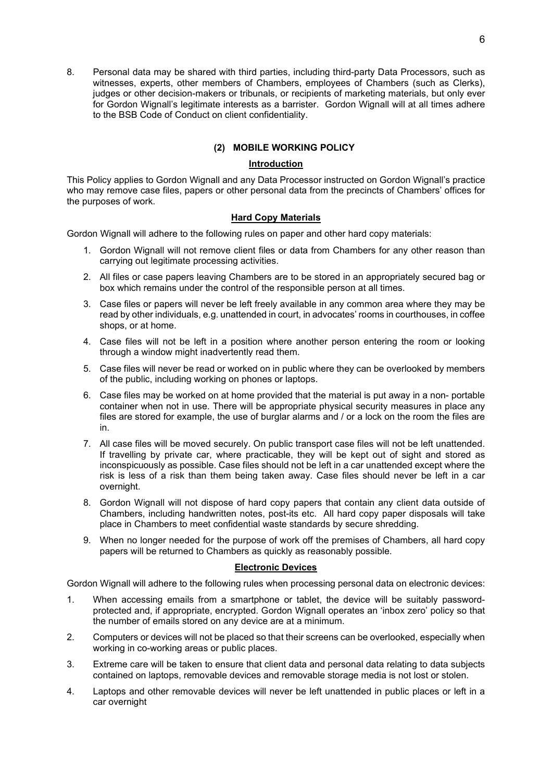8. Personal data may be shared with third parties, including third-party Data Processors, such as witnesses, experts, other members of Chambers, employees of Chambers (such as Clerks), judges or other decision-makers or tribunals, or recipients of marketing materials, but only ever for Gordon Wignall's legitimate interests as a barrister. Gordon Wignall will at all times adhere to the BSB Code of Conduct on client confidentiality.

# **(2) MOBILE WORKING POLICY**

## **Introduction**

This Policy applies to Gordon Wignall and any Data Processor instructed on Gordon Wignall's practice who may remove case files, papers or other personal data from the precincts of Chambers' offices for the purposes of work.

## **Hard Copy Materials**

Gordon Wignall will adhere to the following rules on paper and other hard copy materials:

- 1. Gordon Wignall will not remove client files or data from Chambers for any other reason than carrying out legitimate processing activities.
- 2. All files or case papers leaving Chambers are to be stored in an appropriately secured bag or box which remains under the control of the responsible person at all times.
- 3. Case files or papers will never be left freely available in any common area where they may be read by other individuals, e.g. unattended in court, in advocates' rooms in courthouses, in coffee shops, or at home.
- 4. Case files will not be left in a position where another person entering the room or looking through a window might inadvertently read them.
- 5. Case files will never be read or worked on in public where they can be overlooked by members of the public, including working on phones or laptops.
- 6. Case files may be worked on at home provided that the material is put away in a non- portable container when not in use. There will be appropriate physical security measures in place any files are stored for example, the use of burglar alarms and / or a lock on the room the files are in.
- 7. All case files will be moved securely. On public transport case files will not be left unattended. If travelling by private car, where practicable, they will be kept out of sight and stored as inconspicuously as possible. Case files should not be left in a car unattended except where the risk is less of a risk than them being taken away. Case files should never be left in a car overnight.
- 8. Gordon Wignall will not dispose of hard copy papers that contain any client data outside of Chambers, including handwritten notes, post-its etc. All hard copy paper disposals will take place in Chambers to meet confidential waste standards by secure shredding.
- 9. When no longer needed for the purpose of work off the premises of Chambers, all hard copy papers will be returned to Chambers as quickly as reasonably possible.

#### **Electronic Devices**

Gordon Wignall will adhere to the following rules when processing personal data on electronic devices:

- 1. When accessing emails from a smartphone or tablet, the device will be suitably passwordprotected and, if appropriate, encrypted. Gordon Wignall operates an 'inbox zero' policy so that the number of emails stored on any device are at a minimum.
- 2. Computers or devices will not be placed so that their screens can be overlooked, especially when working in co-working areas or public places.
- 3. Extreme care will be taken to ensure that client data and personal data relating to data subjects contained on laptops, removable devices and removable storage media is not lost or stolen.
- 4. Laptops and other removable devices will never be left unattended in public places or left in a car overnight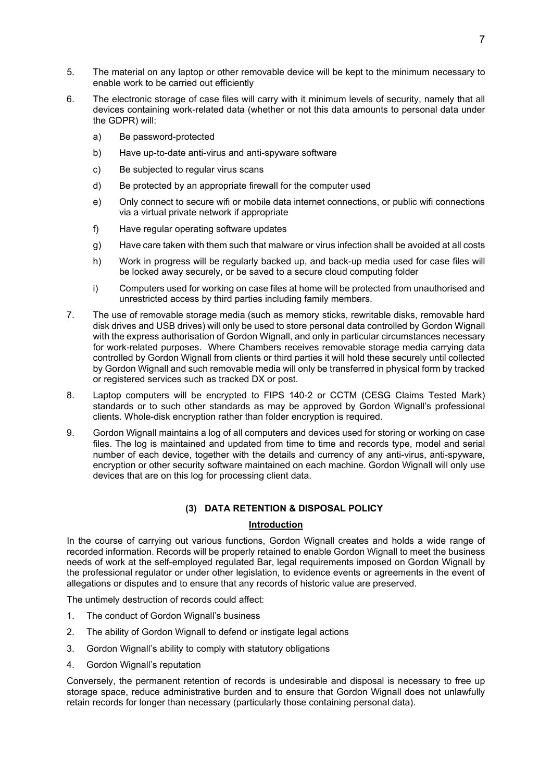- 5. The material on any laptop or other removable device will be kept to the minimum necessary to enable work to be carried out efficiently
- 6. The electronic storage of case files will carry with it minimum levels of security, namely that all devices containing work-related data (whether or not this data amounts to personal data under the GDPR) will:
	- a) Be password-protected
	- b) Have up-to-date anti-virus and anti-spyware software
	- c) Be subjected to regular virus scans
	- d) Be protected by an appropriate firewall for the computer used
	- e) Only connect to secure wifi or mobile data internet connections, or public wifi connections via a virtual private network if appropriate
	- f) Have regular operating software updates
	- g) Have care taken with them such that malware or virus infection shall be avoided at all costs
	- h) Work in progress will be regularly backed up, and back-up media used for case files will be locked away securely, or be saved to a secure cloud computing folder
	- i) Computers used for working on case files at home will be protected from unauthorised and unrestricted access by third parties including family members.
- 7. The use of removable storage media (such as memory sticks, rewritable disks, removable hard disk drives and USB drives) will only be used to store personal data controlled by Gordon Wignall with the express authorisation of Gordon Wignall, and only in particular circumstances necessary for work-related purposes. Where Chambers receives removable storage media carrying data controlled by Gordon Wignall from clients or third parties it will hold these securely until collected by Gordon Wignall and such removable media will only be transferred in physical form by tracked or registered services such as tracked DX or post.
- 8. Laptop computers will be encrypted to FIPS 140-2 or CCTM (CESG Claims Tested Mark) standards or to such other standards as may be approved by Gordon Wignall's professional clients. Whole-disk encryption rather than folder encryption is required.
- 9. Gordon Wignall maintains a log of all computers and devices used for storing or working on case files. The log is maintained and updated from time to time and records type, model and serial number of each device, together with the details and currency of any anti-virus, anti-spyware, encryption or other security software maintained on each machine. Gordon Wignall will only use devices that are on this log for processing client data.

## **(3) DATA RETENTION & DISPOSAL POLICY**

## **Introduction**

In the course of carrying out various functions, Gordon Wignall creates and holds a wide range of recorded information. Records will be properly retained to enable Gordon Wignall to meet the business needs of work at the self-employed regulated Bar, legal requirements imposed on Gordon Wignall by the professional regulator or under other legislation, to evidence events or agreements in the event of allegations or disputes and to ensure that any records of historic value are preserved.

The untimely destruction of records could affect:

- 1. The conduct of Gordon Wignall's business
- 2. The ability of Gordon Wignall to defend or instigate legal actions
- 3. Gordon Wignall's ability to comply with statutory obligations
- 4. Gordon Wignall's reputation

Conversely, the permanent retention of records is undesirable and disposal is necessary to free up storage space, reduce administrative burden and to ensure that Gordon Wignall does not unlawfully retain records for longer than necessary (particularly those containing personal data).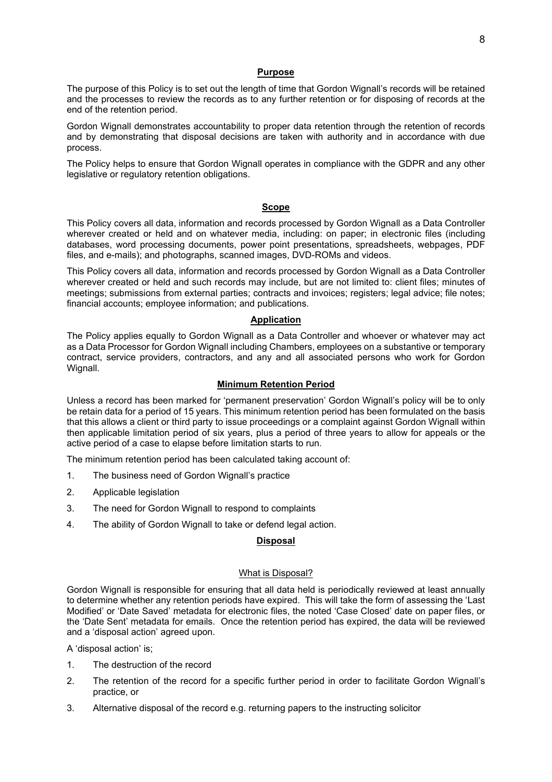#### **Purpose**

The purpose of this Policy is to set out the length of time that Gordon Wignall's records will be retained and the processes to review the records as to any further retention or for disposing of records at the end of the retention period.

Gordon Wignall demonstrates accountability to proper data retention through the retention of records and by demonstrating that disposal decisions are taken with authority and in accordance with due process.

The Policy helps to ensure that Gordon Wignall operates in compliance with the GDPR and any other legislative or regulatory retention obligations.

#### **Scope**

This Policy covers all data, information and records processed by Gordon Wignall as a Data Controller wherever created or held and on whatever media, including: on paper; in electronic files (including databases, word processing documents, power point presentations, spreadsheets, webpages, PDF files, and e-mails); and photographs, scanned images, DVD-ROMs and videos.

This Policy covers all data, information and records processed by Gordon Wignall as a Data Controller wherever created or held and such records may include, but are not limited to: client files; minutes of meetings; submissions from external parties; contracts and invoices; registers; legal advice; file notes; financial accounts; employee information; and publications.

#### **Application**

The Policy applies equally to Gordon Wignall as a Data Controller and whoever or whatever may act as a Data Processor for Gordon Wignall including Chambers, employees on a substantive or temporary contract, service providers, contractors, and any and all associated persons who work for Gordon Wignall.

#### **Minimum Retention Period**

Unless a record has been marked for 'permanent preservation' Gordon Wignall's policy will be to only be retain data for a period of 15 years. This minimum retention period has been formulated on the basis that this allows a client or third party to issue proceedings or a complaint against Gordon Wignall within then applicable limitation period of six years, plus a period of three years to allow for appeals or the active period of a case to elapse before limitation starts to run.

The minimum retention period has been calculated taking account of:

- 1. The business need of Gordon Wignall's practice
- 2. Applicable legislation
- 3. The need for Gordon Wignall to respond to complaints
- 4. The ability of Gordon Wignall to take or defend legal action.

## **Disposal**

#### What is Disposal?

Gordon Wignall is responsible for ensuring that all data held is periodically reviewed at least annually to determine whether any retention periods have expired. This will take the form of assessing the 'Last Modified' or 'Date Saved' metadata for electronic files, the noted 'Case Closed' date on paper files, or the 'Date Sent' metadata for emails. Once the retention period has expired, the data will be reviewed and a 'disposal action' agreed upon.

A 'disposal action' is;

- 1. The destruction of the record
- 2. The retention of the record for a specific further period in order to facilitate Gordon Wignall's practice, or
- 3. Alternative disposal of the record e.g. returning papers to the instructing solicitor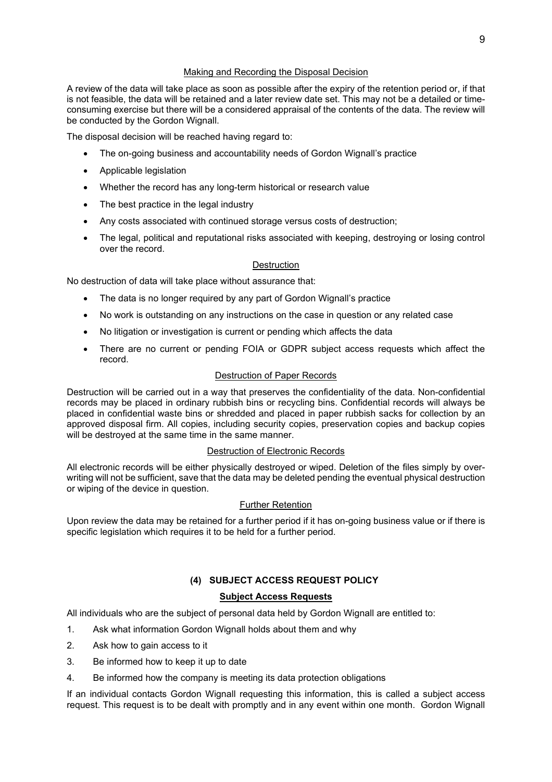#### Making and Recording the Disposal Decision

A review of the data will take place as soon as possible after the expiry of the retention period or, if that is not feasible, the data will be retained and a later review date set. This may not be a detailed or timeconsuming exercise but there will be a considered appraisal of the contents of the data. The review will be conducted by the Gordon Wignall.

The disposal decision will be reached having regard to:

- The on-going business and accountability needs of Gordon Wignall's practice
- Applicable legislation
- Whether the record has any long-term historical or research value
- The best practice in the legal industry
- Any costs associated with continued storage versus costs of destruction;
- The legal, political and reputational risks associated with keeping, destroying or losing control over the record.

## **Destruction**

No destruction of data will take place without assurance that:

- The data is no longer required by any part of Gordon Wignall's practice
- No work is outstanding on any instructions on the case in question or any related case
- No litigation or investigation is current or pending which affects the data
- There are no current or pending FOIA or GDPR subject access requests which affect the record.

## Destruction of Paper Records

Destruction will be carried out in a way that preserves the confidentiality of the data. Non-confidential records may be placed in ordinary rubbish bins or recycling bins. Confidential records will always be placed in confidential waste bins or shredded and placed in paper rubbish sacks for collection by an approved disposal firm. All copies, including security copies, preservation copies and backup copies will be destroyed at the same time in the same manner.

## Destruction of Electronic Records

All electronic records will be either physically destroyed or wiped. Deletion of the files simply by overwriting will not be sufficient, save that the data may be deleted pending the eventual physical destruction or wiping of the device in question.

## Further Retention

Upon review the data may be retained for a further period if it has on-going business value or if there is specific legislation which requires it to be held for a further period.

# **(4) SUBJECT ACCESS REQUEST POLICY**

## **Subject Access Requests**

All individuals who are the subject of personal data held by Gordon Wignall are entitled to:

- 1. Ask what information Gordon Wignall holds about them and why
- 2. Ask how to gain access to it
- 3. Be informed how to keep it up to date
- 4. Be informed how the company is meeting its data protection obligations

If an individual contacts Gordon Wignall requesting this information, this is called a subject access request. This request is to be dealt with promptly and in any event within one month. Gordon Wignall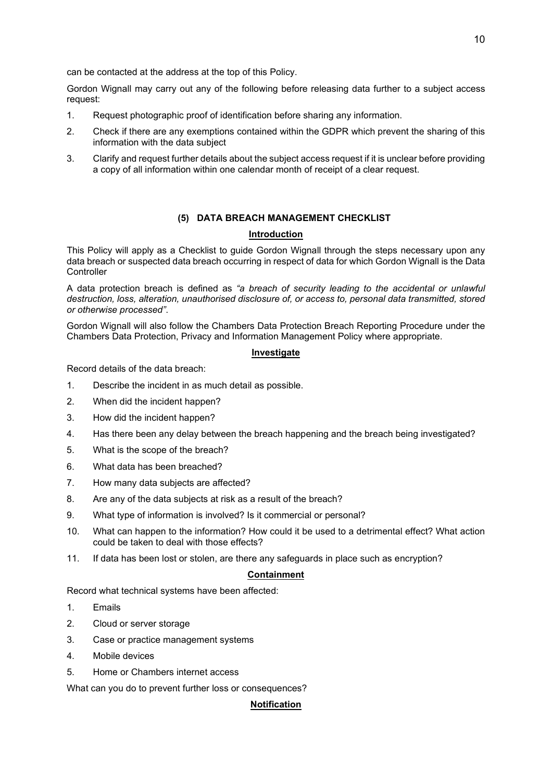Gordon Wignall may carry out any of the following before releasing data further to a subject access request:

- 1. Request photographic proof of identification before sharing any information.
- 2. Check if there are any exemptions contained within the GDPR which prevent the sharing of this information with the data subject
- 3. Clarify and request further details about the subject access request if it is unclear before providing a copy of all information within one calendar month of receipt of a clear request.

## **(5) DATA BREACH MANAGEMENT CHECKLIST**

#### **Introduction**

This Policy will apply as a Checklist to guide Gordon Wignall through the steps necessary upon any data breach or suspected data breach occurring in respect of data for which Gordon Wignall is the Data **Controller** 

A data protection breach is defined as *"a breach of security leading to the accidental or unlawful destruction, loss, alteration, unauthorised disclosure of, or access to, personal data transmitted, stored or otherwise processed"*.

Gordon Wignall will also follow the Chambers Data Protection Breach Reporting Procedure under the Chambers Data Protection, Privacy and Information Management Policy where appropriate.

#### **Investigate**

Record details of the data breach:

- 1. Describe the incident in as much detail as possible.
- 2. When did the incident happen?
- 3. How did the incident happen?
- 4. Has there been any delay between the breach happening and the breach being investigated?
- 5. What is the scope of the breach?
- 6. What data has been breached?
- 7. How many data subjects are affected?
- 8. Are any of the data subjects at risk as a result of the breach?
- 9. What type of information is involved? Is it commercial or personal?
- 10. What can happen to the information? How could it be used to a detrimental effect? What action could be taken to deal with those effects?
- 11. If data has been lost or stolen, are there any safeguards in place such as encryption?

#### **Containment**

Record what technical systems have been affected:

- 1. Emails
- 2. Cloud or server storage
- 3. Case or practice management systems
- 4. Mobile devices
- 5. Home or Chambers internet access

What can you do to prevent further loss or consequences?

## **Notification**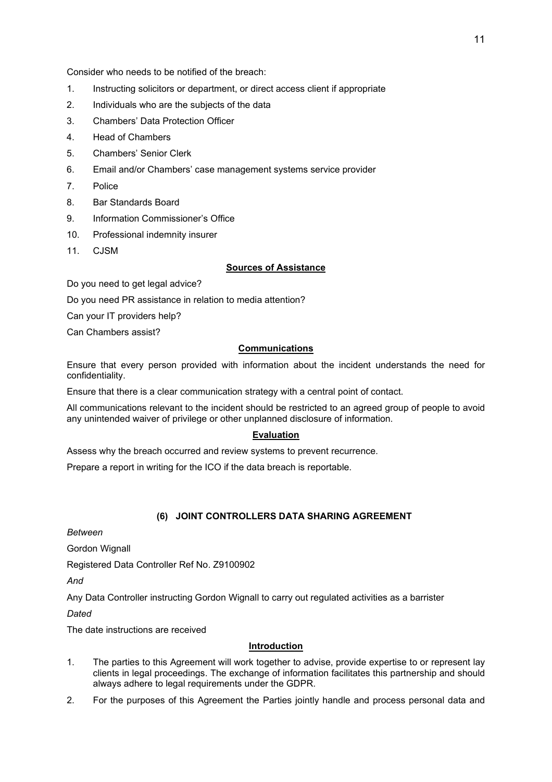Consider who needs to be notified of the breach:

- 1. Instructing solicitors or department, or direct access client if appropriate
- 2. Individuals who are the subjects of the data
- 3. Chambers' Data Protection Officer
- 4. Head of Chambers
- 5. Chambers' Senior Clerk
- 6. Email and/or Chambers' case management systems service provider
- 7. Police
- 8. Bar Standards Board
- 9. Information Commissioner's Office
- 10. Professional indemnity insurer
- 11. CJSM

## **Sources of Assistance**

Do you need to get legal advice?

Do you need PR assistance in relation to media attention?

Can your IT providers help?

Can Chambers assist?

## **Communications**

Ensure that every person provided with information about the incident understands the need for confidentiality.

Ensure that there is a clear communication strategy with a central point of contact.

All communications relevant to the incident should be restricted to an agreed group of people to avoid any unintended waiver of privilege or other unplanned disclosure of information.

## **Evaluation**

Assess why the breach occurred and review systems to prevent recurrence.

Prepare a report in writing for the ICO if the data breach is reportable.

## **(6) JOINT CONTROLLERS DATA SHARING AGREEMENT**

*Between*

Gordon Wignall

Registered Data Controller Ref No. Z9100902

*And*

Any Data Controller instructing Gordon Wignall to carry out regulated activities as a barrister

*Dated*

The date instructions are received

## **Introduction**

- 1. The parties to this Agreement will work together to advise, provide expertise to or represent lay clients in legal proceedings. The exchange of information facilitates this partnership and should always adhere to legal requirements under the GDPR.
- 2. For the purposes of this Agreement the Parties jointly handle and process personal data and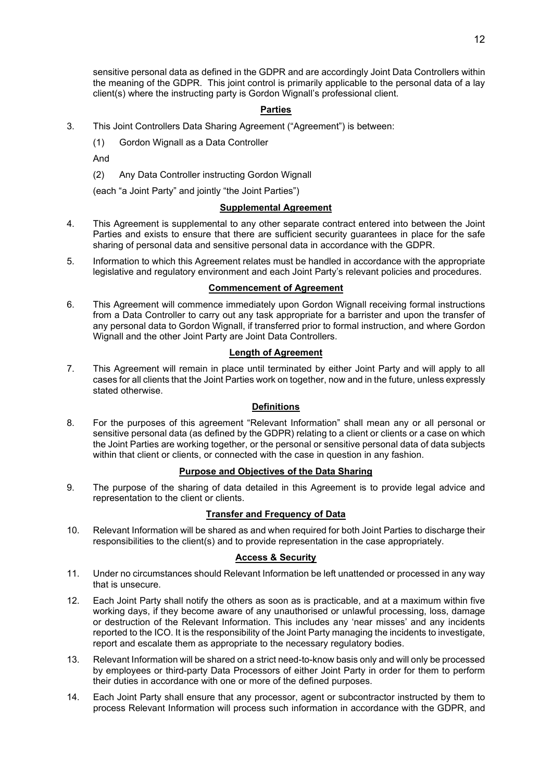sensitive personal data as defined in the GDPR and are accordingly Joint Data Controllers within the meaning of the GDPR. This joint control is primarily applicable to the personal data of a lay client(s) where the instructing party is Gordon Wignall's professional client.

## **Parties**

- 3. This Joint Controllers Data Sharing Agreement ("Agreement") is between:
	- (1) Gordon Wignall as a Data Controller

And

(2) Any Data Controller instructing Gordon Wignall

(each "a Joint Party" and jointly "the Joint Parties")

#### **Supplemental Agreement**

- 4. This Agreement is supplemental to any other separate contract entered into between the Joint Parties and exists to ensure that there are sufficient security guarantees in place for the safe sharing of personal data and sensitive personal data in accordance with the GDPR.
- 5. Information to which this Agreement relates must be handled in accordance with the appropriate legislative and regulatory environment and each Joint Party's relevant policies and procedures.

#### **Commencement of Agreement**

6. This Agreement will commence immediately upon Gordon Wignall receiving formal instructions from a Data Controller to carry out any task appropriate for a barrister and upon the transfer of any personal data to Gordon Wignall, if transferred prior to formal instruction, and where Gordon Wignall and the other Joint Party are Joint Data Controllers.

### **Length of Agreement**

7. This Agreement will remain in place until terminated by either Joint Party and will apply to all cases for all clients that the Joint Parties work on together, now and in the future, unless expressly stated otherwise.

## **Definitions**

8. For the purposes of this agreement "Relevant Information" shall mean any or all personal or sensitive personal data (as defined by the GDPR) relating to a client or clients or a case on which the Joint Parties are working together, or the personal or sensitive personal data of data subjects within that client or clients, or connected with the case in question in any fashion.

## **Purpose and Objectives of the Data Sharing**

9. The purpose of the sharing of data detailed in this Agreement is to provide legal advice and representation to the client or clients.

## **Transfer and Frequency of Data**

10. Relevant Information will be shared as and when required for both Joint Parties to discharge their responsibilities to the client(s) and to provide representation in the case appropriately.

## **Access & Security**

- 11. Under no circumstances should Relevant Information be left unattended or processed in any way that is unsecure.
- 12. Each Joint Party shall notify the others as soon as is practicable, and at a maximum within five working days, if they become aware of any unauthorised or unlawful processing, loss, damage or destruction of the Relevant Information. This includes any 'near misses' and any incidents reported to the ICO. It is the responsibility of the Joint Party managing the incidents to investigate, report and escalate them as appropriate to the necessary regulatory bodies.
- 13. Relevant Information will be shared on a strict need-to-know basis only and will only be processed by employees or third-party Data Processors of either Joint Party in order for them to perform their duties in accordance with one or more of the defined purposes.
- 14. Each Joint Party shall ensure that any processor, agent or subcontractor instructed by them to process Relevant Information will process such information in accordance with the GDPR, and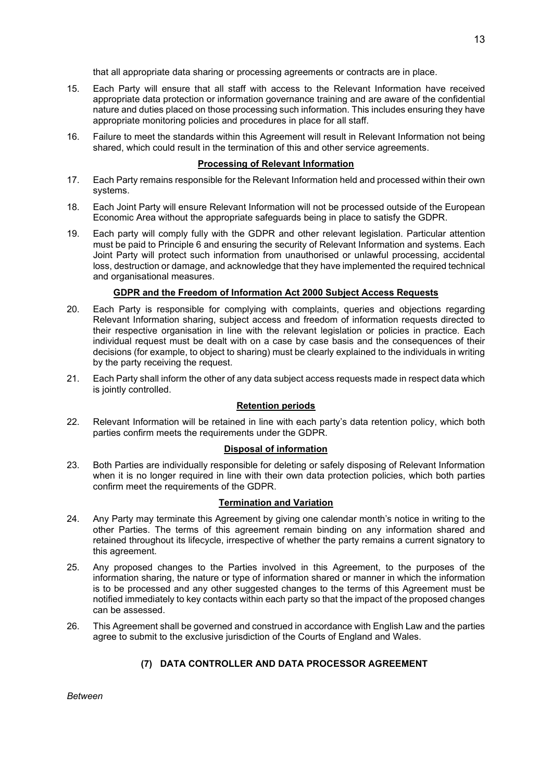that all appropriate data sharing or processing agreements or contracts are in place.

- 15. Each Party will ensure that all staff with access to the Relevant Information have received appropriate data protection or information governance training and are aware of the confidential nature and duties placed on those processing such information. This includes ensuring they have appropriate monitoring policies and procedures in place for all staff.
- 16. Failure to meet the standards within this Agreement will result in Relevant Information not being shared, which could result in the termination of this and other service agreements.

### **Processing of Relevant Information**

- 17. Each Party remains responsible for the Relevant Information held and processed within their own systems.
- 18. Each Joint Party will ensure Relevant Information will not be processed outside of the European Economic Area without the appropriate safeguards being in place to satisfy the GDPR.
- 19. Each party will comply fully with the GDPR and other relevant legislation. Particular attention must be paid to Principle 6 and ensuring the security of Relevant Information and systems. Each Joint Party will protect such information from unauthorised or unlawful processing, accidental loss, destruction or damage, and acknowledge that they have implemented the required technical and organisational measures.

## **GDPR and the Freedom of Information Act 2000 Subject Access Requests**

- 20. Each Party is responsible for complying with complaints, queries and objections regarding Relevant Information sharing, subject access and freedom of information requests directed to their respective organisation in line with the relevant legislation or policies in practice. Each individual request must be dealt with on a case by case basis and the consequences of their decisions (for example, to object to sharing) must be clearly explained to the individuals in writing by the party receiving the request.
- 21. Each Party shall inform the other of any data subject access requests made in respect data which is jointly controlled.

## **Retention periods**

22. Relevant Information will be retained in line with each party's data retention policy, which both parties confirm meets the requirements under the GDPR.

#### **Disposal of information**

23. Both Parties are individually responsible for deleting or safely disposing of Relevant Information when it is no longer required in line with their own data protection policies, which both parties confirm meet the requirements of the GDPR.

#### **Termination and Variation**

- 24. Any Party may terminate this Agreement by giving one calendar month's notice in writing to the other Parties. The terms of this agreement remain binding on any information shared and retained throughout its lifecycle, irrespective of whether the party remains a current signatory to this agreement.
- 25. Any proposed changes to the Parties involved in this Agreement, to the purposes of the information sharing, the nature or type of information shared or manner in which the information is to be processed and any other suggested changes to the terms of this Agreement must be notified immediately to key contacts within each party so that the impact of the proposed changes can be assessed.
- 26. This Agreement shall be governed and construed in accordance with English Law and the parties agree to submit to the exclusive jurisdiction of the Courts of England and Wales.

## **(7) DATA CONTROLLER AND DATA PROCESSOR AGREEMENT**

*Between*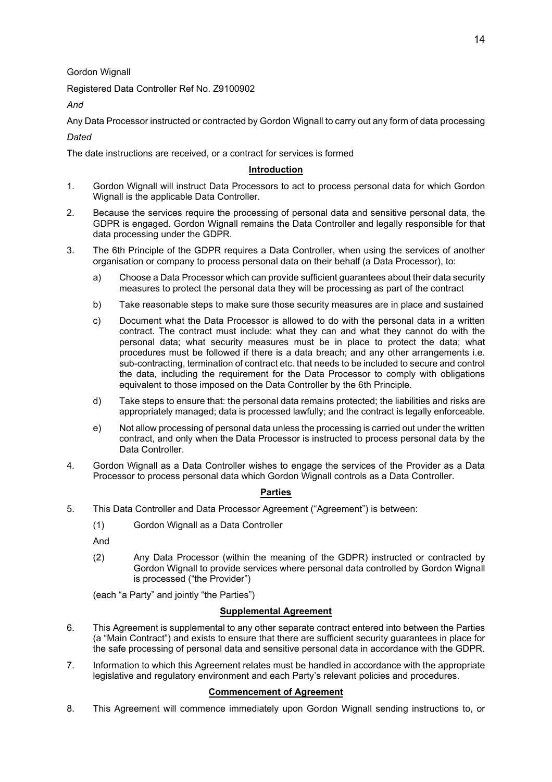Gordon Wignall

Registered Data Controller Ref No. Z9100902

*And*

Any Data Processor instructed or contracted by Gordon Wignall to carry out any form of data processing *Dated*

The date instructions are received, or a contract for services is formed

# **Introduction**

- 1. Gordon Wignall will instruct Data Processors to act to process personal data for which Gordon Wignall is the applicable Data Controller.
- 2. Because the services require the processing of personal data and sensitive personal data, the GDPR is engaged. Gordon Wignall remains the Data Controller and legally responsible for that data processing under the GDPR.
- 3. The 6th Principle of the GDPR requires a Data Controller, when using the services of another organisation or company to process personal data on their behalf (a Data Processor), to:
	- a) Choose a Data Processor which can provide sufficient guarantees about their data security measures to protect the personal data they will be processing as part of the contract
	- b) Take reasonable steps to make sure those security measures are in place and sustained
	- c) Document what the Data Processor is allowed to do with the personal data in a written contract. The contract must include: what they can and what they cannot do with the personal data; what security measures must be in place to protect the data; what procedures must be followed if there is a data breach; and any other arrangements i.e. sub-contracting, termination of contract etc. that needs to be included to secure and control the data, including the requirement for the Data Processor to comply with obligations equivalent to those imposed on the Data Controller by the 6th Principle.
	- d) Take steps to ensure that: the personal data remains protected; the liabilities and risks are appropriately managed; data is processed lawfully; and the contract is legally enforceable.
	- e) Not allow processing of personal data unless the processing is carried out under the written contract, and only when the Data Processor is instructed to process personal data by the Data Controller.
- 4. Gordon Wignall as a Data Controller wishes to engage the services of the Provider as a Data Processor to process personal data which Gordon Wignall controls as a Data Controller.

# **Parties**

- 5. This Data Controller and Data Processor Agreement ("Agreement") is between:
	- (1) Gordon Wignall as a Data Controller

And

(2) Any Data Processor (within the meaning of the GDPR) instructed or contracted by Gordon Wignall to provide services where personal data controlled by Gordon Wignall is processed ("the Provider")

(each "a Party" and jointly "the Parties")

## **Supplemental Agreement**

- 6. This Agreement is supplemental to any other separate contract entered into between the Parties (a "Main Contract") and exists to ensure that there are sufficient security guarantees in place for the safe processing of personal data and sensitive personal data in accordance with the GDPR.
- 7. Information to which this Agreement relates must be handled in accordance with the appropriate legislative and regulatory environment and each Party's relevant policies and procedures.

## **Commencement of Agreement**

8. This Agreement will commence immediately upon Gordon Wignall sending instructions to, or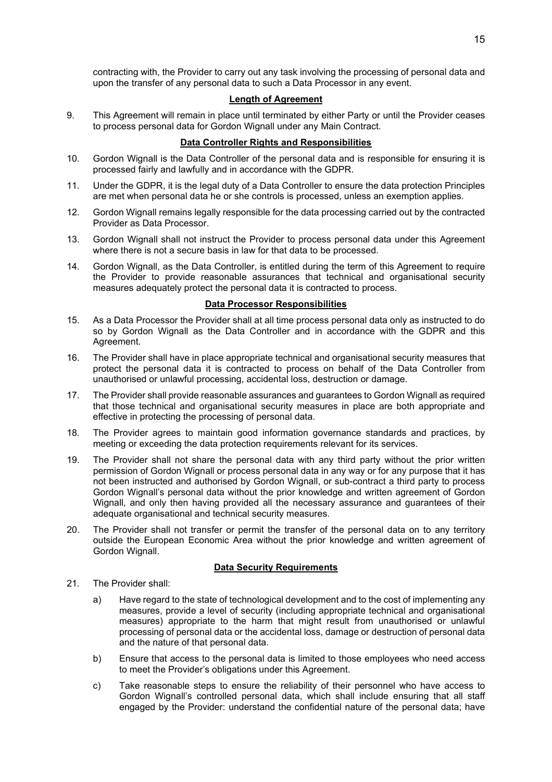contracting with, the Provider to carry out any task involving the processing of personal data and upon the transfer of any personal data to such a Data Processor in any event.

### **Length of Agreement**

9. This Agreement will remain in place until terminated by either Party or until the Provider ceases to process personal data for Gordon Wignall under any Main Contract.

## **Data Controller Rights and Responsibilities**

- 10. Gordon Wignall is the Data Controller of the personal data and is responsible for ensuring it is processed fairly and lawfully and in accordance with the GDPR.
- 11. Under the GDPR, it is the legal duty of a Data Controller to ensure the data protection Principles are met when personal data he or she controls is processed, unless an exemption applies.
- 12. Gordon Wignall remains legally responsible for the data processing carried out by the contracted Provider as Data Processor.
- 13. Gordon Wignall shall not instruct the Provider to process personal data under this Agreement where there is not a secure basis in law for that data to be processed.
- 14. Gordon Wignall, as the Data Controller, is entitled during the term of this Agreement to require the Provider to provide reasonable assurances that technical and organisational security measures adequately protect the personal data it is contracted to process.

## **Data Processor Responsibilities**

- 15. As a Data Processor the Provider shall at all time process personal data only as instructed to do so by Gordon Wignall as the Data Controller and in accordance with the GDPR and this Agreement.
- 16. The Provider shall have in place appropriate technical and organisational security measures that protect the personal data it is contracted to process on behalf of the Data Controller from unauthorised or unlawful processing, accidental loss, destruction or damage.
- 17. The Provider shall provide reasonable assurances and guarantees to Gordon Wignall as required that those technical and organisational security measures in place are both appropriate and effective in protecting the processing of personal data.
- 18. The Provider agrees to maintain good information governance standards and practices, by meeting or exceeding the data protection requirements relevant for its services.
- 19. The Provider shall not share the personal data with any third party without the prior written permission of Gordon Wignall or process personal data in any way or for any purpose that it has not been instructed and authorised by Gordon Wignall, or sub-contract a third party to process Gordon Wignall's personal data without the prior knowledge and written agreement of Gordon Wignall, and only then having provided all the necessary assurance and guarantees of their adequate organisational and technical security measures.
- 20. The Provider shall not transfer or permit the transfer of the personal data on to any territory outside the European Economic Area without the prior knowledge and written agreement of Gordon Wignall.

## **Data Security Requirements**

- 21. The Provider shall:
	- a) Have regard to the state of technological development and to the cost of implementing any measures, provide a level of security (including appropriate technical and organisational measures) appropriate to the harm that might result from unauthorised or unlawful processing of personal data or the accidental loss, damage or destruction of personal data and the nature of that personal data.
	- b) Ensure that access to the personal data is limited to those employees who need access to meet the Provider's obligations under this Agreement.
	- c) Take reasonable steps to ensure the reliability of their personnel who have access to Gordon Wignall's controlled personal data, which shall include ensuring that all staff engaged by the Provider: understand the confidential nature of the personal data; have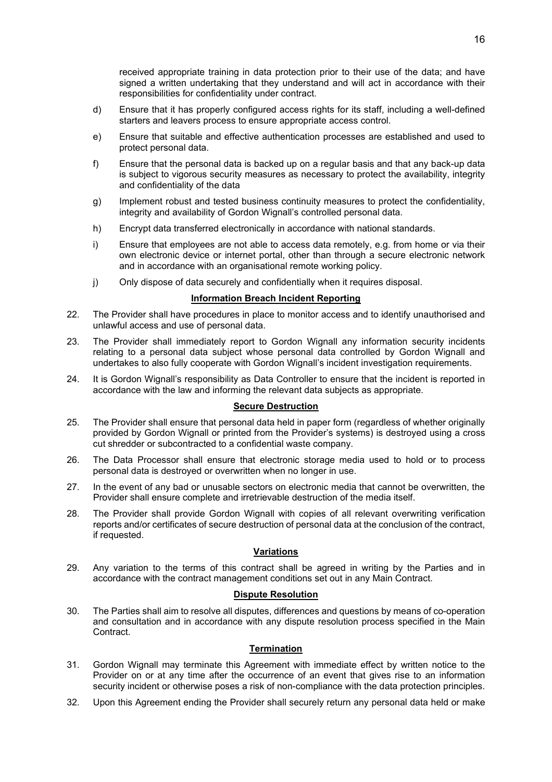received appropriate training in data protection prior to their use of the data; and have signed a written undertaking that they understand and will act in accordance with their responsibilities for confidentiality under contract.

- d) Ensure that it has properly configured access rights for its staff, including a well-defined starters and leavers process to ensure appropriate access control.
- e) Ensure that suitable and effective authentication processes are established and used to protect personal data.
- f) Ensure that the personal data is backed up on a regular basis and that any back-up data is subject to vigorous security measures as necessary to protect the availability, integrity and confidentiality of the data
- g) Implement robust and tested business continuity measures to protect the confidentiality, integrity and availability of Gordon Wignall's controlled personal data.
- h) Encrypt data transferred electronically in accordance with national standards.
- i) Ensure that employees are not able to access data remotely, e.g. from home or via their own electronic device or internet portal, other than through a secure electronic network and in accordance with an organisational remote working policy.
- j) Only dispose of data securely and confidentially when it requires disposal.

#### **Information Breach Incident Reporting**

- 22. The Provider shall have procedures in place to monitor access and to identify unauthorised and unlawful access and use of personal data.
- 23. The Provider shall immediately report to Gordon Wignall any information security incidents relating to a personal data subject whose personal data controlled by Gordon Wignall and undertakes to also fully cooperate with Gordon Wignall's incident investigation requirements.
- 24. It is Gordon Wignall's responsibility as Data Controller to ensure that the incident is reported in accordance with the law and informing the relevant data subjects as appropriate.

#### **Secure Destruction**

- 25. The Provider shall ensure that personal data held in paper form (regardless of whether originally provided by Gordon Wignall or printed from the Provider's systems) is destroyed using a cross cut shredder or subcontracted to a confidential waste company.
- 26. The Data Processor shall ensure that electronic storage media used to hold or to process personal data is destroyed or overwritten when no longer in use.
- 27. In the event of any bad or unusable sectors on electronic media that cannot be overwritten, the Provider shall ensure complete and irretrievable destruction of the media itself.
- 28. The Provider shall provide Gordon Wignall with copies of all relevant overwriting verification reports and/or certificates of secure destruction of personal data at the conclusion of the contract, if requested.

#### **Variations**

29. Any variation to the terms of this contract shall be agreed in writing by the Parties and in accordance with the contract management conditions set out in any Main Contract.

#### **Dispute Resolution**

30. The Parties shall aim to resolve all disputes, differences and questions by means of co-operation and consultation and in accordance with any dispute resolution process specified in the Main Contract.

#### **Termination**

- 31. Gordon Wignall may terminate this Agreement with immediate effect by written notice to the Provider on or at any time after the occurrence of an event that gives rise to an information security incident or otherwise poses a risk of non-compliance with the data protection principles.
- 32. Upon this Agreement ending the Provider shall securely return any personal data held or make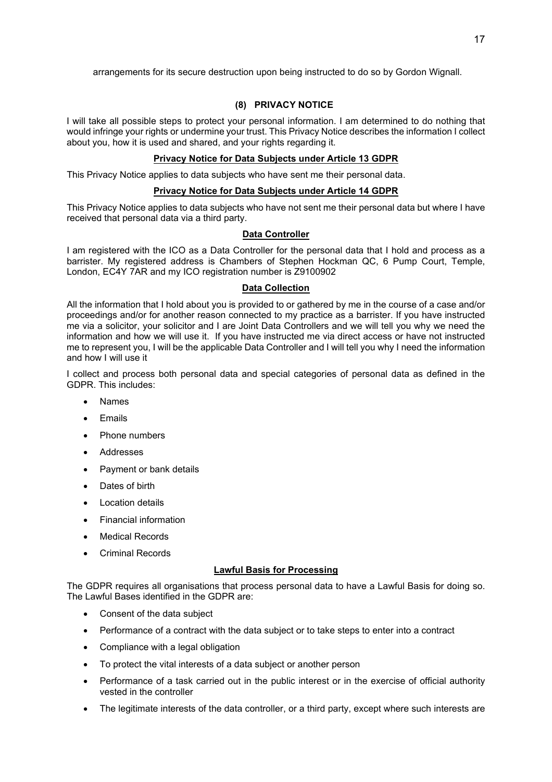arrangements for its secure destruction upon being instructed to do so by Gordon Wignall.

## **(8) PRIVACY NOTICE**

I will take all possible steps to protect your personal information. I am determined to do nothing that would infringe your rights or undermine your trust. This Privacy Notice describes the information I collect about you, how it is used and shared, and your rights regarding it.

### **Privacy Notice for Data Subjects under Article 13 GDPR**

This Privacy Notice applies to data subjects who have sent me their personal data.

### **Privacy Notice for Data Subjects under Article 14 GDPR**

This Privacy Notice applies to data subjects who have not sent me their personal data but where I have received that personal data via a third party.

### **Data Controller**

I am registered with the ICO as a Data Controller for the personal data that I hold and process as a barrister. My registered address is Chambers of Stephen Hockman QC, 6 Pump Court, Temple, London, EC4Y 7AR and my ICO registration number is Z9100902

### **Data Collection**

All the information that I hold about you is provided to or gathered by me in the course of a case and/or proceedings and/or for another reason connected to my practice as a barrister. If you have instructed me via a solicitor, your solicitor and I are Joint Data Controllers and we will tell you why we need the information and how we will use it. If you have instructed me via direct access or have not instructed me to represent you, I will be the applicable Data Controller and I will tell you why I need the information and how I will use it

I collect and process both personal data and special categories of personal data as defined in the GDPR. This includes:

- **Names**
- Emails
- Phone numbers
- Addresses
- Payment or bank details
- Dates of birth
- **Location details**
- Financial information
- Medical Records
- Criminal Records

## **Lawful Basis for Processing**

The GDPR requires all organisations that process personal data to have a Lawful Basis for doing so. The Lawful Bases identified in the GDPR are:

- Consent of the data subject
- Performance of a contract with the data subject or to take steps to enter into a contract
- Compliance with a legal obligation
- To protect the vital interests of a data subject or another person
- Performance of a task carried out in the public interest or in the exercise of official authority vested in the controller
- The legitimate interests of the data controller, or a third party, except where such interests are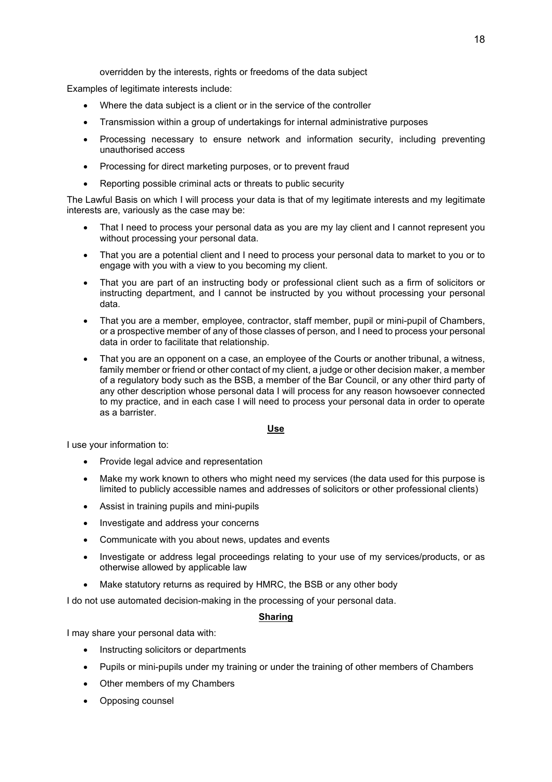overridden by the interests, rights or freedoms of the data subject

Examples of legitimate interests include:

- Where the data subject is a client or in the service of the controller
- Transmission within a group of undertakings for internal administrative purposes
- Processing necessary to ensure network and information security, including preventing unauthorised access
- Processing for direct marketing purposes, or to prevent fraud
- Reporting possible criminal acts or threats to public security

The Lawful Basis on which I will process your data is that of my legitimate interests and my legitimate interests are, variously as the case may be:

- That I need to process your personal data as you are my lay client and I cannot represent you without processing your personal data.
- That you are a potential client and I need to process your personal data to market to you or to engage with you with a view to you becoming my client.
- That you are part of an instructing body or professional client such as a firm of solicitors or instructing department, and I cannot be instructed by you without processing your personal data.
- That you are a member, employee, contractor, staff member, pupil or mini-pupil of Chambers, or a prospective member of any of those classes of person, and I need to process your personal data in order to facilitate that relationship.
- That you are an opponent on a case, an employee of the Courts or another tribunal, a witness, family member or friend or other contact of my client, a judge or other decision maker, a member of a regulatory body such as the BSB, a member of the Bar Council, or any other third party of any other description whose personal data I will process for any reason howsoever connected to my practice, and in each case I will need to process your personal data in order to operate as a barrister.

#### **Use**

I use your information to:

- Provide legal advice and representation
- Make my work known to others who might need my services (the data used for this purpose is limited to publicly accessible names and addresses of solicitors or other professional clients)
- Assist in training pupils and mini-pupils
- Investigate and address your concerns
- Communicate with you about news, updates and events
- Investigate or address legal proceedings relating to your use of my services/products, or as otherwise allowed by applicable law
- Make statutory returns as required by HMRC, the BSB or any other body

I do not use automated decision-making in the processing of your personal data.

### **Sharing**

I may share your personal data with:

- Instructing solicitors or departments
- Pupils or mini-pupils under my training or under the training of other members of Chambers
- Other members of my Chambers
- Opposing counsel